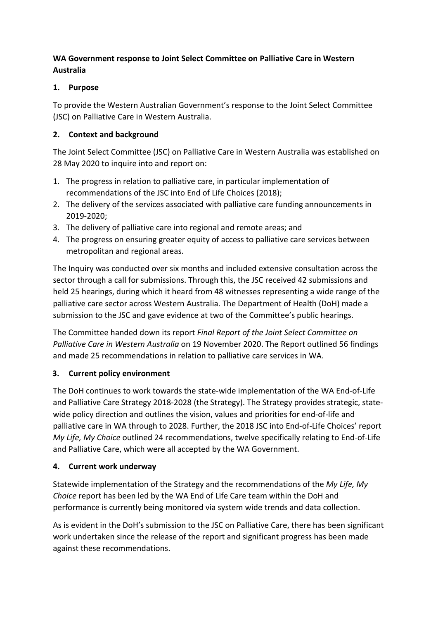## **WA Government response to Joint Select Committee on Palliative Care in Western Australia**

## **1. Purpose**

To provide the Western Australian Government's response to the Joint Select Committee (JSC) on Palliative Care in Western Australia.

#### **2. Context and background**

The Joint Select Committee (JSC) on Palliative Care in Western Australia was established on 28 May 2020 to inquire into and report on:

- 1. The progress in relation to palliative care, in particular implementation of recommendations of the JSC into End of Life Choices (2018);
- 2. The delivery of the services associated with palliative care funding announcements in 2019-2020;
- 3. The delivery of palliative care into regional and remote areas; and
- 4. The progress on ensuring greater equity of access to palliative care services between metropolitan and regional areas.

The Inquiry was conducted over six months and included extensive consultation across the sector through a call for submissions. Through this, the JSC received 42 submissions and held 25 hearings, during which it heard from 48 witnesses representing a wide range of the palliative care sector across Western Australia. The Department of Health (DoH) made a submission to the JSC and gave evidence at two of the Committee's public hearings.

The Committee handed down its report *Final Report of the Joint Select Committee on Palliative Care in Western Australia* on 19 November 2020. The Report outlined 56 findings and made 25 recommendations in relation to palliative care services in WA.

## **3. Current policy environment**

The DoH continues to work towards the state-wide implementation of the WA End-of-Life and Palliative Care Strategy 2018-2028 (the Strategy). The Strategy provides strategic, statewide policy direction and outlines the vision, values and priorities for end-of-life and palliative care in WA through to 2028. Further, the 2018 JSC into End-of-Life Choices' report *My Life, My Choice* outlined 24 recommendations, twelve specifically relating to End-of-Life and Palliative Care, which were all accepted by the WA Government.

## **4. Current work underway**

Statewide implementation of the Strategy and the recommendations of the *My Life, My Choice* report has been led by the WA End of Life Care team within the DoH and performance is currently being monitored via system wide trends and data collection.

As is evident in the DoH's submission to the JSC on Palliative Care, there has been significant work undertaken since the release of the report and significant progress has been made against these recommendations.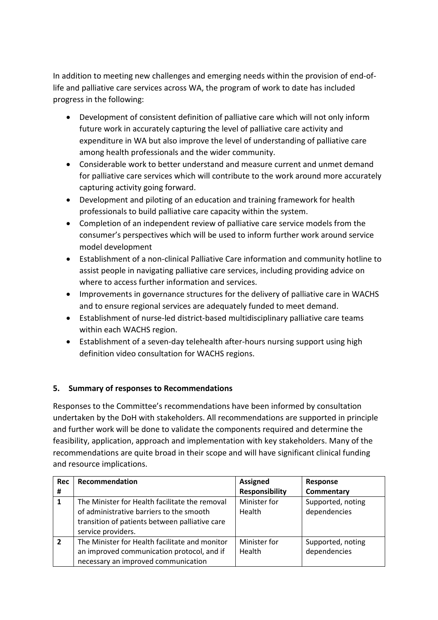In addition to meeting new challenges and emerging needs within the provision of end-oflife and palliative care services across WA, the program of work to date has included progress in the following:

- Development of consistent definition of palliative care which will not only inform future work in accurately capturing the level of palliative care activity and expenditure in WA but also improve the level of understanding of palliative care among health professionals and the wider community.
- Considerable work to better understand and measure current and unmet demand for palliative care services which will contribute to the work around more accurately capturing activity going forward.
- Development and piloting of an education and training framework for health professionals to build palliative care capacity within the system.
- Completion of an independent review of palliative care service models from the consumer's perspectives which will be used to inform further work around service model development
- Establishment of a non-clinical Palliative Care information and community hotline to assist people in navigating palliative care services, including providing advice on where to access further information and services.
- Improvements in governance structures for the delivery of palliative care in WACHS and to ensure regional services are adequately funded to meet demand.
- Establishment of nurse-led district-based multidisciplinary palliative care teams within each WACHS region.
- Establishment of a seven-day telehealth after-hours nursing support using high definition video consultation for WACHS regions.

## **5. Summary of responses to Recommendations**

Responses to the Committee's recommendations have been informed by consultation undertaken by the DoH with stakeholders. All recommendations are supported in principle and further work will be done to validate the components required and determine the feasibility, application, approach and implementation with key stakeholders. Many of the recommendations are quite broad in their scope and will have significant clinical funding and resource implications.

| <b>Rec</b>     | Recommendation                                                                                                                                                     | <b>Assigned</b>        | Response                          |
|----------------|--------------------------------------------------------------------------------------------------------------------------------------------------------------------|------------------------|-----------------------------------|
| #              |                                                                                                                                                                    | <b>Responsibility</b>  | Commentary                        |
| 1              | The Minister for Health facilitate the removal<br>of administrative barriers to the smooth<br>transition of patients between palliative care<br>service providers. | Minister for<br>Health | Supported, noting<br>dependencies |
| $\overline{2}$ | The Minister for Health facilitate and monitor<br>an improved communication protocol, and if<br>necessary an improved communication                                | Minister for<br>Health | Supported, noting<br>dependencies |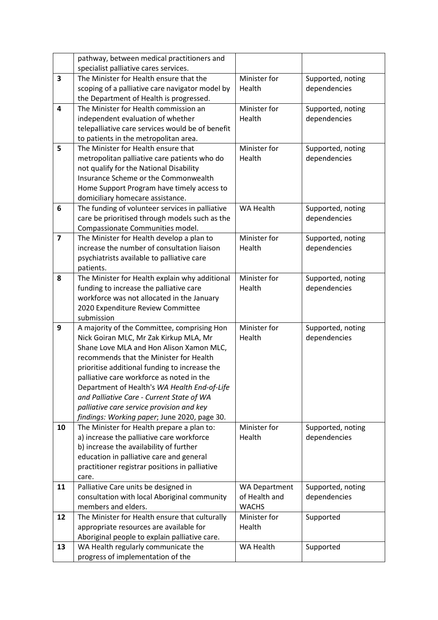|                         | pathway, between medical practitioners and       |                                   |                   |
|-------------------------|--------------------------------------------------|-----------------------------------|-------------------|
|                         | specialist palliative cares services.            |                                   |                   |
| $\overline{\mathbf{3}}$ | The Minister for Health ensure that the          | Minister for<br>Supported, noting |                   |
|                         | scoping of a palliative care navigator model by  | Health                            | dependencies      |
|                         | the Department of Health is progressed.          |                                   |                   |
| 4                       | The Minister for Health commission an            | Minister for                      | Supported, noting |
|                         | independent evaluation of whether                | Health                            | dependencies      |
|                         | telepalliative care services would be of benefit |                                   |                   |
|                         | to patients in the metropolitan area.            |                                   |                   |
| 5                       | The Minister for Health ensure that              | Minister for                      | Supported, noting |
|                         | metropolitan palliative care patients who do     | Health                            | dependencies      |
|                         | not qualify for the National Disability          |                                   |                   |
|                         | Insurance Scheme or the Commonwealth             |                                   |                   |
|                         | Home Support Program have timely access to       |                                   |                   |
|                         | domiciliary homecare assistance.                 |                                   |                   |
| 6                       | The funding of volunteer services in palliative  | <b>WA Health</b>                  | Supported, noting |
|                         | care be prioritised through models such as the   |                                   | dependencies      |
|                         | Compassionate Communities model.                 |                                   |                   |
| $\overline{\mathbf{z}}$ | The Minister for Health develop a plan to        | Minister for                      | Supported, noting |
|                         | increase the number of consultation liaison      | Health                            | dependencies      |
|                         | psychiatrists available to palliative care       |                                   |                   |
|                         | patients.                                        |                                   |                   |
| 8                       | The Minister for Health explain why additional   | Minister for                      | Supported, noting |
|                         | funding to increase the palliative care          | Health                            | dependencies      |
|                         | workforce was not allocated in the January       |                                   |                   |
|                         | 2020 Expenditure Review Committee                |                                   |                   |
|                         | submission                                       |                                   |                   |
| 9                       | A majority of the Committee, comprising Hon      | Minister for                      | Supported, noting |
|                         | Nick Goiran MLC, Mr Zak Kirkup MLA, Mr           | Health                            | dependencies      |
|                         | Shane Love MLA and Hon Alison Xamon MLC,         |                                   |                   |
|                         | recommends that the Minister for Health          |                                   |                   |
|                         | prioritise additional funding to increase the    |                                   |                   |
|                         | palliative care workforce as noted in the        |                                   |                   |
|                         | Department of Health's WA Health End-of-Life     |                                   |                   |
|                         | and Palliative Care - Current State of WA        |                                   |                   |
|                         | palliative care service provision and key        |                                   |                   |
|                         | findings: Working paper; June 2020, page 30.     |                                   |                   |
| 10                      | The Minister for Health prepare a plan to:       | Minister for                      | Supported, noting |
|                         | a) increase the palliative care workforce        | Health                            | dependencies      |
|                         | b) increase the availability of further          |                                   |                   |
|                         | education in palliative care and general         |                                   |                   |
|                         | practitioner registrar positions in palliative   |                                   |                   |
|                         | care.                                            |                                   |                   |
| 11                      | Palliative Care units be designed in             | <b>WA Department</b>              | Supported, noting |
|                         | consultation with local Aboriginal community     | of Health and                     | dependencies      |
|                         | members and elders.                              | <b>WACHS</b>                      |                   |
| 12                      | The Minister for Health ensure that culturally   | Minister for                      | Supported         |
|                         | appropriate resources are available for          | Health                            |                   |
|                         | Aboriginal people to explain palliative care.    |                                   |                   |
| 13                      | WA Health regularly communicate the              | WA Health                         | Supported         |
|                         | progress of implementation of the                |                                   |                   |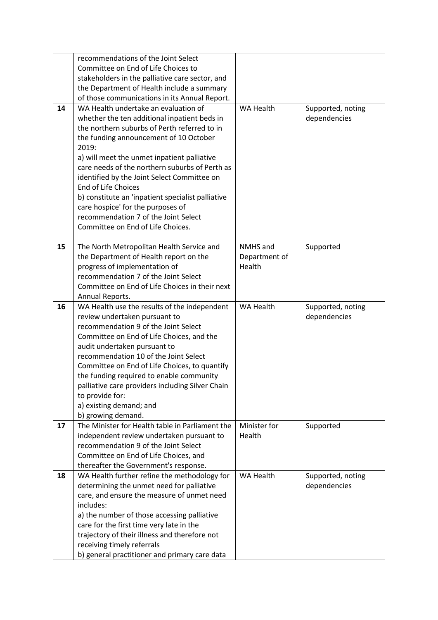|    | recommendations of the Joint Select                                   |                  |                   |
|----|-----------------------------------------------------------------------|------------------|-------------------|
|    | Committee on End of Life Choices to                                   |                  |                   |
|    | stakeholders in the palliative care sector, and                       |                  |                   |
|    | the Department of Health include a summary                            |                  |                   |
|    | of those communications in its Annual Report.                         |                  |                   |
| 14 | WA Health undertake an evaluation of                                  | WA Health        | Supported, noting |
|    | whether the ten additional inpatient beds in                          |                  | dependencies      |
|    | the northern suburbs of Perth referred to in                          |                  |                   |
|    |                                                                       |                  |                   |
|    | the funding announcement of 10 October                                |                  |                   |
|    | 2019:                                                                 |                  |                   |
|    | a) will meet the unmet inpatient palliative                           |                  |                   |
|    | care needs of the northern suburbs of Perth as                        |                  |                   |
|    | identified by the Joint Select Committee on                           |                  |                   |
|    | <b>End of Life Choices</b>                                            |                  |                   |
|    | b) constitute an 'inpatient specialist palliative                     |                  |                   |
|    | care hospice' for the purposes of                                     |                  |                   |
|    | recommendation 7 of the Joint Select                                  |                  |                   |
|    | Committee on End of Life Choices.                                     |                  |                   |
|    |                                                                       |                  |                   |
| 15 | The North Metropolitan Health Service and                             | NMHS and         | Supported         |
|    | the Department of Health report on the                                | Department of    |                   |
|    | progress of implementation of                                         | Health           |                   |
|    | recommendation 7 of the Joint Select                                  |                  |                   |
|    | Committee on End of Life Choices in their next                        |                  |                   |
|    | Annual Reports.                                                       |                  |                   |
| 16 | WA Health use the results of the independent                          | <b>WA Health</b> | Supported, noting |
|    | review undertaken pursuant to                                         |                  | dependencies      |
|    | recommendation 9 of the Joint Select                                  |                  |                   |
|    | Committee on End of Life Choices, and the                             |                  |                   |
|    | audit undertaken pursuant to                                          |                  |                   |
|    | recommendation 10 of the Joint Select                                 |                  |                   |
|    | Committee on End of Life Choices, to quantify                         |                  |                   |
|    | the funding required to enable community                              |                  |                   |
|    |                                                                       |                  |                   |
|    | palliative care providers including Silver Chain<br>to provide for:   |                  |                   |
|    |                                                                       |                  |                   |
|    | a) existing demand; and                                               |                  |                   |
|    | b) growing demand.<br>The Minister for Health table in Parliament the | Minister for     |                   |
| 17 |                                                                       | Health           | Supported         |
|    | independent review undertaken pursuant to                             |                  |                   |
|    | recommendation 9 of the Joint Select                                  |                  |                   |
|    | Committee on End of Life Choices, and                                 |                  |                   |
|    | thereafter the Government's response.                                 |                  |                   |
| 18 | WA Health further refine the methodology for                          | WA Health        | Supported, noting |
|    | determining the unmet need for palliative                             |                  | dependencies      |
|    | care, and ensure the measure of unmet need                            |                  |                   |
|    | includes:                                                             |                  |                   |
|    | a) the number of those accessing palliative                           |                  |                   |
|    | care for the first time very late in the                              |                  |                   |
|    | trajectory of their illness and therefore not                         |                  |                   |
|    | receiving timely referrals                                            |                  |                   |
|    | b) general practitioner and primary care data                         |                  |                   |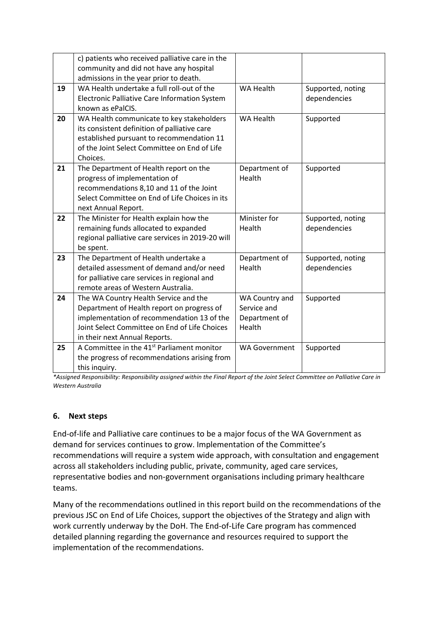|    | c) patients who received palliative care in the               |                                       |                   |
|----|---------------------------------------------------------------|---------------------------------------|-------------------|
|    | community and did not have any hospital                       |                                       |                   |
|    | admissions in the year prior to death.                        |                                       |                   |
| 19 | WA Health undertake a full roll-out of the                    | <b>WA Health</b><br>Supported, noting |                   |
|    | Electronic Palliative Care Information System                 |                                       | dependencies      |
|    | known as ePalCIS.                                             |                                       |                   |
| 20 | WA Health communicate to key stakeholders                     | <b>WA Health</b>                      | Supported         |
|    | its consistent definition of palliative care                  |                                       |                   |
|    | established pursuant to recommendation 11                     |                                       |                   |
|    | of the Joint Select Committee on End of Life                  |                                       |                   |
|    | Choices.                                                      |                                       |                   |
| 21 | The Department of Health report on the                        | Department of                         | Supported         |
|    | progress of implementation of                                 | Health                                |                   |
|    | recommendations 8,10 and 11 of the Joint                      |                                       |                   |
|    | Select Committee on End of Life Choices in its                |                                       |                   |
|    | next Annual Report.                                           |                                       |                   |
|    |                                                               |                                       |                   |
| 22 | The Minister for Health explain how the                       | Minister for                          | Supported, noting |
|    | remaining funds allocated to expanded                         | Health                                | dependencies      |
|    | regional palliative care services in 2019-20 will             |                                       |                   |
|    | be spent.                                                     |                                       |                   |
| 23 | The Department of Health undertake a                          | Department of                         | Supported, noting |
|    | detailed assessment of demand and/or need                     | Health                                | dependencies      |
|    | for palliative care services in regional and                  |                                       |                   |
|    | remote areas of Western Australia.                            |                                       |                   |
| 24 | The WA Country Health Service and the                         | WA Country and                        | Supported         |
|    | Department of Health report on progress of                    | Service and                           |                   |
|    | implementation of recommendation 13 of the                    | Department of                         |                   |
|    | Joint Select Committee on End of Life Choices                 | Health                                |                   |
|    | in their next Annual Reports.                                 |                                       |                   |
| 25 | A Committee in the 41 <sup>st</sup> Parliament monitor        | <b>WA Government</b>                  | Supported         |
|    | the progress of recommendations arising from<br>this inquiry. |                                       |                   |

*\*Assigned Responsibility: Responsibility assigned within the Final Report of the Joint Select Committee on Palliative Care in Western Australia*

#### **6. Next steps**

End-of-life and Palliative care continues to be a major focus of the WA Government as demand for services continues to grow. Implementation of the Committee's recommendations will require a system wide approach, with consultation and engagement across all stakeholders including public, private, community, aged care services, representative bodies and non-government organisations including primary healthcare teams.

Many of the recommendations outlined in this report build on the recommendations of the previous JSC on End of Life Choices, support the objectives of the Strategy and align with work currently underway by the DoH. The End-of-Life Care program has commenced detailed planning regarding the governance and resources required to support the implementation of the recommendations.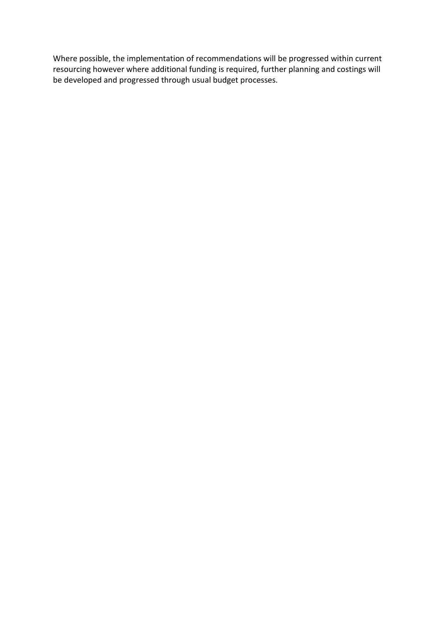Where possible, the implementation of recommendations will be progressed within current resourcing however where additional funding is required, further planning and costings will be developed and progressed through usual budget processes.